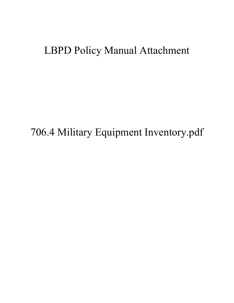# LBPD Policy Manual Attachment

706.4 Military Equipment Inventory.pdf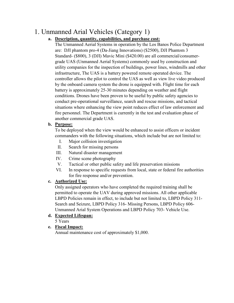# 1. Unmanned Arial Vehicles (Category 1)

### **a. Description, quantity, capabilities, and purchase cost:**

The Unmanned Aerial Systems in operation by the Los Banos Police Department are: DJI phantom pro-4 (Da-Jiang Innovations) (\$2500), DJI Phantom 3 Standard- (\$800), 3 (DJI) Mavic Mini (\$420.00) are all commercial/consumergrade UAS (Unmanned Aerial Systems) commonly used by construction and utility companies for the inspection of buildings, power lines, windmills and other infrastructure, The UAS is a battery powered remote operated device. The controller allows the pilot to control the UAS as well as view live video produced by the onboard camera system the drone is equipped with. Flight time for each battery is approximately 25-30 minutes depending on weather and flight conditions. Drones have been proven to be useful by public safety agencies to conduct pre-operational surveillance, search and rescue missions, and tactical situations where enhancing the view point reduces effect of law enforcement and fire personnel. The Department is currently in the test and evaluation phase of another commercial grade UAS.

#### **b. Purpose:**

To be deployed when the view would be enhanced to assist officers or incident commanders with the following situations, which include but are not limited to:

- I. Major collision investigation
- II. Search for missing persons
- III. Natural disaster management
- IV. Crime scene photography
- V. Tactical or other public safety and life preservation missions
- VI. In response to specific requests from local, state or federal fire authorities for fire response and/or prevention.

### **c. Authorized Use:**

Only assigned operators who have completed the required training shall be permitted to operate the UAV during approved missions. All other applicable LBPD Policies remain in effect, to include but not limited to, LBPD Policy 311- Search and Seizure, LBPD Policy 316- Missing Persons, LBPD Policy 606- Unmanned Arial System Operations and LBPD Policy 703- Vehicle Use.

### **d. Expected Lifespan:**

5 Years

### **e. Fiscal Impact:**

Annual maintenance cost of approximately \$1,000.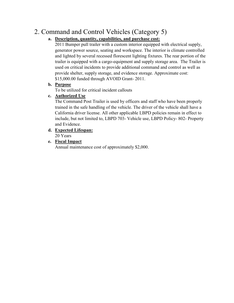# 2. Command and Control Vehicles (Category 5)

# **a. Description, quantity, capabilities, and purchase cost:**

2011 Bumper pull trailer with a custom interior equipped with electrical supply, generator power source, seating and workspace. The interior is climate controlled and lighted by several recessed florescent lighting fixtures. The rear portion of the trailer is equipped with a cargo-equipment and supply storage area. The Trailer is used on critical incidents to provide additional command and control as well as provide shelter, supply storage, and evidence storage. Approximate cost: \$15,000.00 funded through AVOID Grant- 2011.

#### **b. Purpose**

To be utilized for critical incident callouts

### **c. Authorized Use**

The Command Post Trailer is used by officers and staff who have been properly trained in the safe handling of the vehicle. The driver of the vehicle shall have a California driver license. All other applicable LBPD policies remain in effect to include, but not limited to, LBPD 703- Vehicle use, LBPD Policy- 802- Property and Evidence.

# **d. Expected Lifespan:**

20 Years

### **e. Fiscal Impact**

Annual maintenance cost of approximately \$2,000.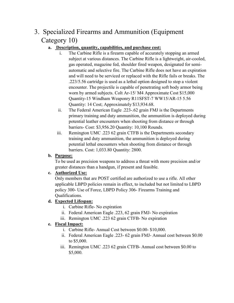# 3. Specialized Firearms and Ammunition (Equipment Category 10)

# **a. Description, quantity, capabilities, and purchase cost:**

- i. The Carbine Rifle is a firearm capable of accurately stopping an armed subject at various distances. The Carbine Rifle is a lightweight, air-cooled, gas operated, magazine fed, shoulder fired weapon, designated for semiautomatic and selective fire. The Carbine Rifle does not have an expiration and will need to be serviced or replaced with the Rifle fails or breaks. The .223/5.56 cartridge is used as a lethal option designed to stop a violent encounter. The projectile is capable of penetrating soft body armor being worn by armed subjects. Colt Ar-15/ M4 Approximate Cost \$15,000 Quantity-15 Windham Weaponry R11SFST-7 WW15/AR-15 5.56 Quantity: 14 Cost; Approximately \$13,934.68.
- ii. The Federal American Eagle .223-.62 grain FMJ is the Departments primary training and duty ammunition, the ammunition is deployed during potential leather encounters when shooting from distance or through barriers- Cost: \$3,956.20 Quantity: 10,100 Rounds.
- iii. Remington UMC .223 62 grain CTFB is the Departments secondary training and duty ammunition, the ammunition is deployed during potential lethal encounters when shooting from distance or through barriers. Cost: 1,033.80 Quantity: 2800.

# **b. Purpose:**

To be used as precision weapons to address a threat with more precision and/or greater distances than a handgun, if present and feasible.

# **c. Authorized Use:**

Only members that are POST certified are authorized to use a rifle. All other applicable LBPD policies remain in effect, to included but not limited to LBPD policy 300- Use of Force, LBPD Policy 306- Firearms Training and Qualifications.

# **d. Expected Lifespan:**

- i. Carbine Rifle- No expiration
- ii. Federal American Eagle .223, 62 grain FMJ- No expiration
- iii. Remington UMC .223 62 grain CTFB- No expiration

# **e. Fiscal Impact:**

- i. Carbine Rifle- Annual Cost between \$0.00- \$10,000.
- ii. Federal American Eagle .223- 62 grain FMJ- Annual cost between \$0.00 to \$5,000.
- iii. Remington UMC .223 62 grain CTFB- Annual cost between \$0.00 to \$5,000.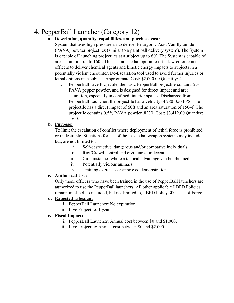# 4. PepperBall Launcher (Category 12)

### **a. Description, quantity, capabilities, and purchase cost:**

System that uses high pressure air to deliver Pelargonic Acid Vanillylamide (PAVA) powder projectiles (similar to a paint ball delivery system). The System is capable of launching projectiles at a subject up to 60'. The System is capable of area saturation up to 160'. This is a non-lethal option to offer law enforcement officers to deliver chemical agents and kinetic energy impacts to subjects in a potentially violent encounter. De-Escalation tool used to avoid further injuries or lethal options on a subject. Approximate Cost: \$2,000.00 Quantity: 4

i. PepperBall Live Projectile, the basic PepperBall projectile contains 2% PAVA pepper powder, and is designed for direct impact and area saturation, especially in confined, interior spaces. Discharged from a PepperBall Launcher, the projectile has a velocity of 280-350 FPS. The projectile has a direct impact of 60ft and an area saturation of 150=f. The projectile contains 0.5% PAVA powder .8230. Cost: \$3,412.00 Quantity: 1500.

### **b. Purpose:**

To limit the escalation of conflict where deployment of lethal force is prohibited or undesirable. Situations for use of the less lethal weapon systems may include but, are not limited to:

- i. Self-destructive, dangerous and/or combative individuals.
- ii. Riot/Crowd control and civil unrest indecent
- iii. Circumstances where a tactical advantage van be obtained
- iv. Potentially vicious animals
- v. Training exercises or approved demonstrations

### **c. Authorized Use:**

Only those officers who have been trained in the use of PepperBall launchers are authorized to use the PepperBall launchers. All other applicable LBPD Policies remain in effect, to included, but not limited to, LBPD Policy 300- Use of Force

### **d. Expected Lifespan:**

- i. PepperBall Launcher: No expiration
- ii. Live Projectile: 1 year

### **e. Fiscal Impact:**

- i. PepperBall Launcher: Annual cost between \$0 and \$1,000.
- ii. Live Projectile: Annual cost between \$0 and \$2,000.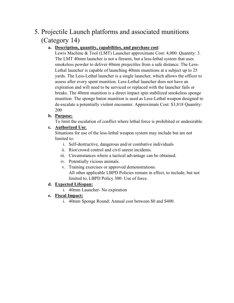# 5. Projectile Launch platforms and associated munitions (Category 14)

# **a. Description, quantity, capabilities, and purchase cost**:

Lewis Machine & Tool (LMT) Launcher approximate Cost: 4,000. Quantity: 3. The LMT 40mm launcher is not a firearm, but a less-lethal system that uses smokeless powder to deliver 40mm projectiles from a safe distance. The Less-Lethal launcher is capable of launching 40mm munitions at a subject up to 25 yards. The Less-Lethal launcher is a single launcher, which allows the officer to assess after every spent munition. Less-Lethal launcher does not have an expiration and will need to be serviced or replaced with the launcher fails or breaks. The 40mm munition is a direct impact spin stabilized smokeless sponge munition. The sponge baton munition is used as Less-Lethal weapon designed to de-escalate a potentially violent encounter. Approximate Cost: \$3,818 Quantity: 200

### **b. Purpose:**

To limit the escalation of conflict where lethal force is prohibited or undesirable.

### **c. Authorized Use**:

Situations for use of the less-lethal weapon system may include but are not limited to:

- i. Self-destructive, dangerous and/or combative individuals
- ii. Riot/crowd control and civil unrest incidents.
- iii. Circumstances where a tactical advantage can be obtained.
- iv. Potentially vicious animals.
- v. Training exercises or approved demonstrations. All other applicable LBPD Policies remain in effect, to include, but not limited to, LBPD Policy 300- Use of force.

### **d. Expected Lifespan:**

- i. 40mm Launcher- No expiration
- **e. Fiscal Impact:**
	- i. 40mm Sponge Round: Annual cost between \$0 and \$400.